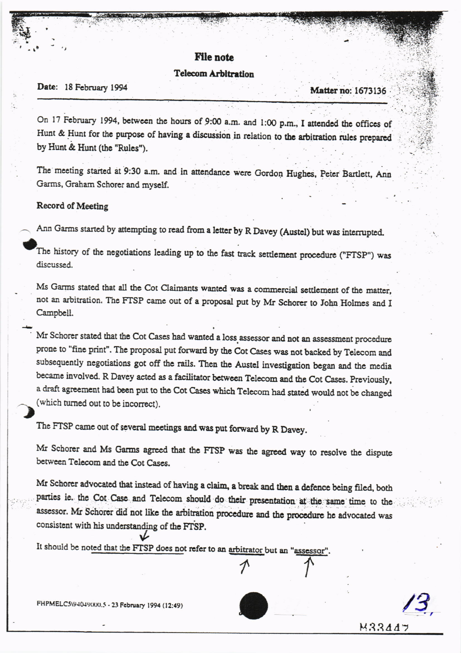## **File note**

## **Telecom Arbitration**

## Date: 18 February 1994

**Matter no: 1673136** 

 $M3344$ 

On 17 February 1994, between the hours of 9:00 a.m. and 1:00 p.m., I attended the offices of Hunt & Hunt for the purpose of having a discussion in relation to the arbitration rules prepared by Hunt & Hunt (the "Rules").

The meeting started at 9:30 a.m. and in attendance were Gordon Hughes, Peter Bartlett, Ann Garms, Graham Schorer and myself.

## Record of Meeting

Ann Garms started by attempting to read from a letter by R Davey (Austel) but was interrupted.

The history of the negotiations leading up to the fast track settlement procedure ("FTSP") was discussed.

Ms Garms stated that all the Cot Claimants wanted was a commercial settlement of the matter, not an arbitration. The FTSP came out of a proposal put by Mr Schorer to John Holmes and I Campbell.

Mr Schorer stated that the Cot Cases had wanted a loss assessor and not an assessment procedure prone to "fine print". The proposal put forward by the Cot Cases was not backed by Telecom and subsequently negotiations got off the rails. Then the Austel investigation began and the media became involved. R Davey acted as a facilitator between Telecom and the Cot Cases. Previously, a draft agreement had been put to the Cot Cases which Telecom had stated would not be changed (which turned out to be incorrect).

The FTSP came out of several meetings and was put forward by R Davey.

Mr Schorer and Ms Garms agreed that the FTSP was the agreed way to resolve the dispute between Telecom and the Cot Cases.

Mr Schorer advocated that instead of having a claim, a break and then a defence being filed, both parties ie. the Cot Case and Telecom should do their presentation at the same time to the assessor. Mr Schorer did not like the arbitration procedure and the procedure he advocated was consistent with his understanding of the FTSP.

It should be noted that the FTSP does not refer to an arbitrator but an "assessor".

FHPMELC5\94049(XX).5 - 23 February 1994 (12:49)